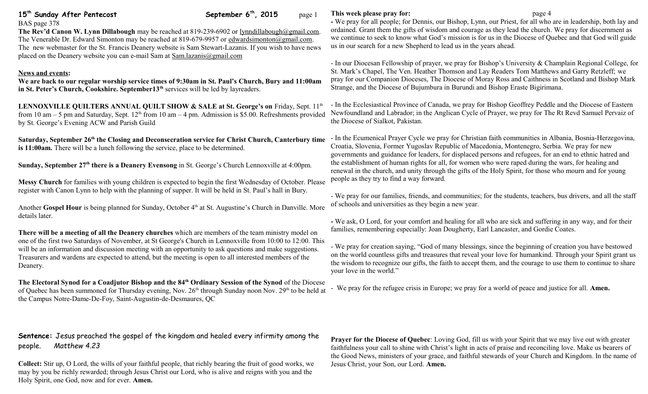**1515***b***<b>rh,** 2015 page 1

## BAS page 378

**The Rev'd Canon W. Lynn Dillabough** may be reached at 819-239-6902 or [lynndillabough@gmail.com.](mailto:lynndillabough@gmail.com) The Venerable Dr. Edward Simonton may be reached at 819-679-9957 or [edwardsimonton@gmail.com.](mailto:edwardsimonton@gmail.com) The new webmaster for the St. Francis Deanery website is Sam Stewart-Lazanis. If you wish to have news placed on the Deanery website you can e-mail Sam at [Sam.lazanis@gmail.com](mailto:Sam.lazanis@gmail.com)

### **News and events:**

**We are back to our regular worship service times of 9:30am in St. Paul's Church, Bury and 11:00am in St. Peter's Church, Cookshire. September13th** services will be led by layreaders.

LENNOXVILLE QUILTERS ANNUAL QUILT SHOW & SALE at St. George's on Friday, Sept. 11<sup>th</sup> from 10 am – 5 pm and Saturday, Sept.  $12<sup>th</sup>$  from 10 am – 4 pm. Admission is \$5.00. Refreshments provided by St. George's Evening ACW and Parish Guild

**Saturday, September 26th the Closing and Deconsecration service for Christ Church, Canterbury time is 11:00am.** There will be a lunch following the service, place to be determined.

**Sunday, September 27th there is a Deanery Evensong** in St. George's Church Lennoxville at 4:00pm.

**Messy Church** for families with young children is expected to begin the first Wednesday of October. Please register with Canon Lynn to help with the planning of supper. It will be held in St. Paul's hall in Bury.

Another Gospel Hour is being planned for Sunday, October 4<sup>th</sup> at St. Augustine's Church in Danville. More details later.

**There will be a meeting of all the Deanery churches** which are members of the team ministry model on one of the first two Saturdays of November, at St George's Church in Lennoxville from 10:00 to 12:00. This will be an information and discussion meeting with an opportunity to ask questions and make suggestions. Treasurers and wardens are expected to attend, but the meeting is open to all interested members of the Deanery.

**The Electoral Synod for a Coadjutor Bishop and the 84th Ordinary Session of the Synod** of the Diocese of Quebec has been summoned for Thursday evening, Nov.  $26<sup>th</sup>$  through Sunday noon Nov.  $29<sup>th</sup>$  to be held at the Campus Notre-Dame-De-Foy, Saint-Augustin-de-Desmaures, QC

# **Sentence:** Jesus preached the gospel of the kingdom and healed every infirmity among the people. *Matthew 4.23*

**Collect:** Stir up, O Lord, the wills of your faithful people, that richly bearing the fruit of good works, we may by you be richly rewarded; through Jesus Christ our Lord, who is alive and reigns with you and the Holy Spirit, one God, now and for ever. **Amen.**

#### **This week please pray for: page 4**

**-** We pray for all people; for Dennis, our Bishop, Lynn, our Priest, for all who are in leadership, both lay and ordained. Grant them the gifts of wisdom and courage as they lead the church. We pray for discernment as we continue to seek to know what God's mission is for us in the Diocese of Quebec and that God will guide us in our search for a new Shepherd to lead us in the years ahead.

- In our Diocesan Fellowship of prayer, we pray for Bishop's University & Champlain Regional College, for St. Mark's Chapel, The Ven. Heather Thomson and Lay Readers Tom Matthews and Garry Retzleff; we pray for our Companion Dioceses, The Diocese of Moray Ross and Caithness in Scotland and Bishop Mark Strange, and the Diocese of Bujumbura in Burundi and Bishop Eraste Bigirimana.

- In the Ecclesiastical Province of Canada, we pray for Bishop Geoffrey Peddle and the Diocese of Eastern Newfoundland and Labrador; in the Anglican Cycle of Prayer, we pray for The Rt Revd Samuel Pervaiz of the Diocese of Sialkot, Pakistan.

- In the Ecumenical Prayer Cycle we pray for Christian faith communities in Albania, Bosnia-Herzegovina, Croatia, Slovenia, Former Yugoslav Republic of Macedonia, Montenegro, Serbia. We pray for new governments and guidance for leaders, for displaced persons and refugees, for an end to ethnic hatred and the establishment of human rights for all, for women who were raped during the wars, for healing and renewal in the church, and unity through the gifts of the Holy Spirit, for those who mourn and for young people as they try to find a way forward.

- We pray for our families, friends, and communities; for the students, teachers, bus drivers, and all the staff of schools and universities as they begin a new year.

**-** We ask, O Lord, for your comfort and healing for all who are sick and suffering in any way, and for their families, remembering especially: Joan Dougherty, Earl Lancaster, and Gordie Coates.

- We pray for creation saying, "God of many blessings, since the beginning of creation you have bestowed on the world countless gifts and treasures that reveal your love for humankind. Through your Spirit grant us the wisdom to recognize our gifts, the faith to accept them, and the courage to use them to continue to share your love in the world."

- We pray for the refugee crisis in Europe; we pray for a world of peace and justice for all. **Amen.**

**Prayer for the Diocese of Quebec**: Loving God, fill us with your Spirit that we may live out with greater faithfulness your call to shine with Christ's light in acts of praise and reconciling love. Make us bearers of the Good News, ministers of your grace, and faithful stewards of your Church and Kingdom. In the name of Jesus Christ, your Son, our Lord. **Amen.**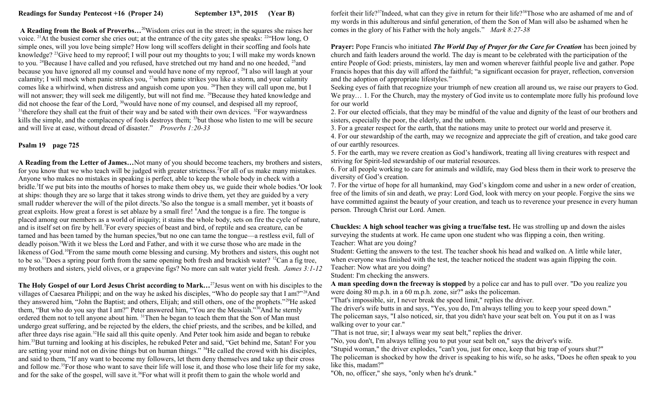**A Reading from the Book of Proverbs…**<sup>20</sup>Wisdom cries out in the street; in the squares she raises her voice. <sup>21</sup>At the busiest corner she cries out; at the entrance of the city gates she speaks: <sup>22</sup>"How long, O simple ones, will you love being simple? How long will scoffers delight in their scoffing and fools hate knowledge? <sup>23</sup>Give heed to my reproof; I will pour out my thoughts to you; I will make my words known to you. <sup>24</sup>Because I have called and you refused, have stretched out my hand and no one heeded, <sup>25</sup>and because you have ignored all my counsel and would have none of my reproof, <sup>26</sup>I also will laugh at your calamity; I will mock when panic strikes you,  $^{27}$  when panic strikes you like a storm, and your calamity comes like a whirlwind, when distress and anguish come upon you. <sup>28</sup>Then they will call upon me, but I will not answer; they will seek me diligently, but will not find me. <sup>29</sup>Because they hated knowledge and did not choose the fear of the Lord, <sup>30</sup>would have none of my counsel, and despised all my reproof,  $31$ <sup>1</sup>therefore they shall eat the fruit of their way and be sated with their own devices.  $32$ For waywardness kills the simple, and the complacency of fools destroys them; <sup>33</sup>but those who listen to me will be secure and will live at ease, without dread of disaster." *Proverbs 1:20-33*

## **Psalm 19 page 725**

**A Reading from the Letter of James…**Not many of you should become teachers, my brothers and sisters, for you know that we who teach will be judged with greater strictness.<sup>2</sup>For all of us make many mistakes. Anyone who makes no mistakes in speaking is perfect, able to keep the whole body in check with a bridle.<sup>3</sup>If we put bits into the mouths of horses to make them obey us, we guide their whole bodies.<sup>4</sup>Or look at ships: though they are so large that it takes strong winds to drive them, yet they are guided by a very small rudder wherever the will of the pilot directs.<sup>5</sup>So also the tongue is a small member, yet it boasts of great exploits. How great a forest is set ablaze by a small fire! <sup>6</sup>And the tongue is a fire. The tongue is placed among our members as a world of iniquity; it stains the whole body, sets on fire the cycle of nature, and is itself set on fire by hell.<sup>7</sup>For every species of beast and bird, of reptile and sea creature, can be tamed and has been tamed by the human species,<sup>8</sup>but no one can tame the tongue—a restless evil, full of deadly poison.<sup>9</sup>With it we bless the Lord and Father, and with it we curse those who are made in the likeness of God.<sup>10</sup>From the same mouth come blessing and cursing. My brothers and sisters, this ought not to be so.<sup>11</sup>Does a spring pour forth from the same opening both fresh and brackish water? <sup>12</sup>Can a fig tree, my brothers and sisters, yield olives, or a grapevine figs? No more can salt water yield fresh. *James 3:1-12*

**The Holy Gospel of our Lord Jesus Christ according to Mark…**<sup>27</sup>Jesus went on with his disciples to the villages of Caesarea Philippi; and on the way he asked his disciples, "Who do people say that I am?"<sup>28</sup>And they answered him, "John the Baptist; and others, Elijah; and still others, one of the prophets."<sup>29</sup>He asked them, "But who do you say that I am?" Peter answered him, "You are the Messiah."<sup>30</sup>And he sternly ordered them not to tell anyone about him. <sup>31</sup>Then he began to teach them that the Son of Man must undergo great suffering, and be rejected by the elders, the chief priests, and the scribes, and be killed, and after three days rise again.<sup>32</sup>He said all this quite openly. And Peter took him aside and began to rebuke him.<sup>33</sup>But turning and looking at his disciples, he rebuked Peter and said, "Get behind me, Satan! For you are setting your mind not on divine things but on human things." <sup>34</sup>He called the crowd with his disciples, and said to them, "If any want to become my followers, let them deny themselves and take up their cross and follow me.<sup>35</sup>For those who want to save their life will lose it, and those who lose their life for my sake, and for the sake of the gospel, will save it.<sup>36</sup>For what will it profit them to gain the whole world and

forfeit their life?<sup>37</sup>Indeed, what can they give in return for their life?<sup>38</sup>Those who are ashamed of me and of my words in this adulterous and sinful generation, of them the Son of Man will also be ashamed when he comes in the glory of his Father with the holy angels." *Mark 8:27-38* 

**Prayer:** Pope Francis who initiated *The World Day of Prayer for the Care for Creation* has been joined by church and faith leaders around the world. The day is meant to be celebrated with the participation of the entire People of God: priests, ministers, lay men and women wherever faithful people live and gather. Pope Francis hopes that this day will afford the faithful; "a significant occasion for prayer, reflection, conversion and the adoption of appropriate lifestyles."

Seeking eyes of faith that recognize your triumph of new creation all around us, we raise our prayers to God. We pray... 1. For the Church, may the mystery of God invite us to contemplate more fully his profound love for our world

2. For our elected officials, that they may be mindful of the value and dignity of the least of our brothers and sisters, especially the poor, the elderly, and the unborn.

3. For a greater respect for the earth, that the nations may unite to protect our world and preserve it.

4. For our stewardship of the earth, may we recognize and appreciate the gift of creation, and take good care of our earthly resources.

5. For the earth, may we revere creation as God's handiwork, treating all living creatures with respect and striving for Spirit-led stewardship of our material resources.

6. For all people working to care for animals and wildlife, may God bless them in their work to preserve the diversity of God's creation.

7. For the virtue of hope for all humankind, may God's kingdom come and usher in a new order of creation, free of the limits of sin and death, we pray: Lord God, look with mercy on your people. Forgive the sins we have committed against the beauty of your creation, and teach us to reverence your presence in every human person. Through Christ our Lord. Amen.

**Chuckles: A high school teacher was giving a true/false test.** He was strolling up and down the aisles surveying the students at work. He came upon one student who was flipping a coin, then writing. Teacher: What are you doing?

Student: Getting the answers to the test. The teacher shook his head and walked on. A little while later, when everyone was finished with the test, the teacher noticed the student was again flipping the coin. Teacher: Now what are you doing?

Student: I'm checking the answers.

**A man speeding down the freeway is stopped** by a police car and has to pull over. "Do you realize you were doing 80 m.p.h. in a 60 m.p.h. zone, sir?" asks the policeman.

"That's impossible, sir, I never break the speed limit," replies the driver.

The driver's wife butts in and says, "Yes, you do, I'm always telling you to keep your speed down." The policeman says, "I also noticed, sir, that you didn't have your seat belt on. You put it on as I was walking over to your car."

"That is not true, sir; I always wear my seat belt," replies the driver.

"No, you don't, I'm always telling you to put your seat belt on," says the driver's wife.

"Stupid woman," the driver explodes, "can't you, just for once, keep that big trap of yours shut?"

The policeman is shocked by how the driver is speaking to his wife, so he asks, "Does he often speak to you like this, madam?"

"Oh, no, officer," she says, "only when he's drunk."